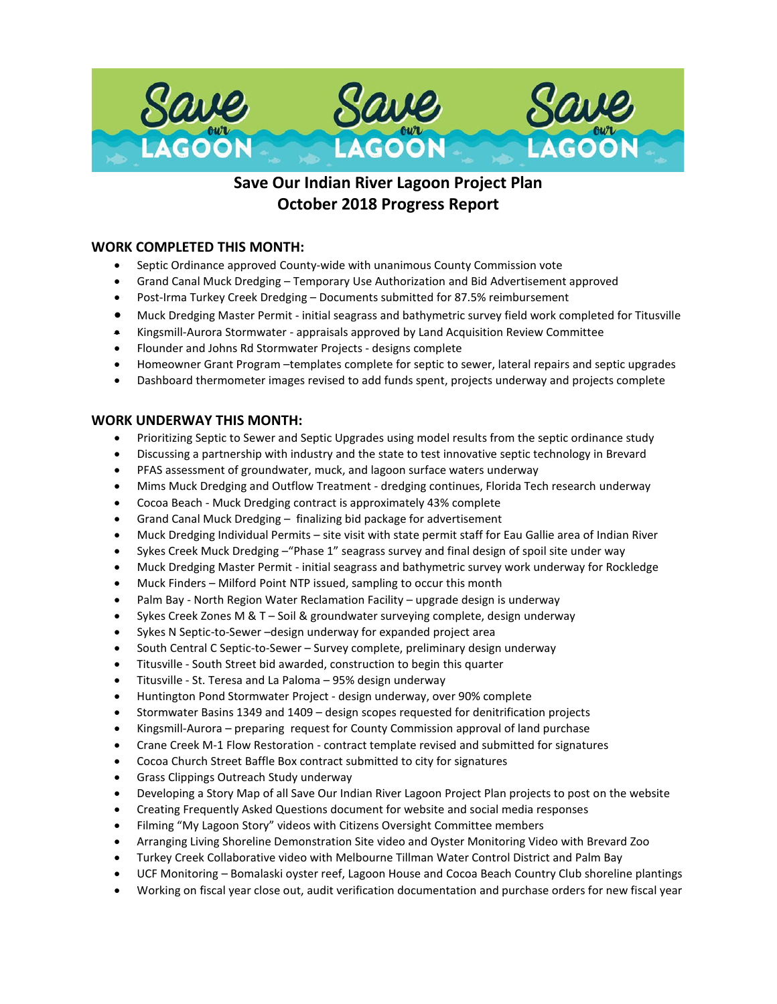

# **Save Our Indian River Lagoon Project Plan October 2018 Progress Report**

# **WORK COMPLETED THIS MONTH:**

- Septic Ordinance approved County-wide with unanimous County Commission vote
- Grand Canal Muck Dredging Temporary Use Authorization and Bid Advertisement approved
- Post-Irma Turkey Creek Dredging Documents submitted for 87.5% reimbursement
- Muck Dredging Master Permit initial seagrass and bathymetric survey field work completed for Titusville
- Kingsmill-Aurora Stormwater appraisals approved by Land Acquisition Review Committee
- Flounder and Johns Rd Stormwater Projects designs complete
- Homeowner Grant Program –templates complete for septic to sewer, lateral repairs and septic upgrades
- Dashboard thermometer images revised to add funds spent, projects underway and projects complete

#### **WORK UNDERWAY THIS MONTH:**

- Prioritizing Septic to Sewer and Septic Upgrades using model results from the septic ordinance study
- Discussing a partnership with industry and the state to test innovative septic technology in Brevard
- PFAS assessment of groundwater, muck, and lagoon surface waters underway
- Mims Muck Dredging and Outflow Treatment dredging continues, Florida Tech research underway
- Cocoa Beach Muck Dredging contract is approximately 43% complete
- Grand Canal Muck Dredging finalizing bid package for advertisement
- Muck Dredging Individual Permits site visit with state permit staff for Eau Gallie area of Indian River
- Sykes Creek Muck Dredging –"Phase 1" seagrass survey and final design of spoil site under way
- Muck Dredging Master Permit initial seagrass and bathymetric survey work underway for Rockledge
- Muck Finders Milford Point NTP issued, sampling to occur this month
- Palm Bay North Region Water Reclamation Facility upgrade design is underway
- Sykes Creek Zones M & T Soil & groundwater surveying complete, design underway
- Sykes N Septic-to-Sewer –design underway for expanded project area
- South Central C Septic-to-Sewer Survey complete, preliminary design underway
- Titusville South Street bid awarded, construction to begin this quarter
- Titusville St. Teresa and La Paloma 95% design underway
- Huntington Pond Stormwater Project design underway, over 90% complete
- Stormwater Basins 1349 and 1409 design scopes requested for denitrification projects
- Kingsmill-Aurora preparing request for County Commission approval of land purchase
- Crane Creek M-1 Flow Restoration contract template revised and submitted for signatures
- Cocoa Church Street Baffle Box contract submitted to city for signatures
- Grass Clippings Outreach Study underway
- Developing a Story Map of all Save Our Indian River Lagoon Project Plan projects to post on the website
- Creating Frequently Asked Questions document for website and social media responses
- Filming "My Lagoon Story" videos with Citizens Oversight Committee members
- Arranging Living Shoreline Demonstration Site video and Oyster Monitoring Video with Brevard Zoo
- Turkey Creek Collaborative video with Melbourne Tillman Water Control District and Palm Bay
- UCF Monitoring Bomalaski oyster reef, Lagoon House and Cocoa Beach Country Club shoreline plantings
- Working on fiscal year close out, audit verification documentation and purchase orders for new fiscal year